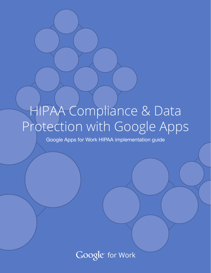# HIPAA Compliance & Data Protection with Google Apps

Google Apps for Work HIPAA implementation guide

Google for Work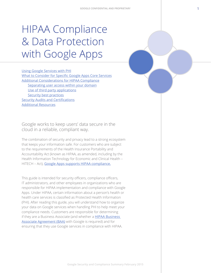# HIPAA Compliance & Data Protection with Google Apps

[Using Google Services with PHI](#page-2-0) [What to Consider for Specific Google Apps Core Services](#page-3-0) [Additional Considerations for HIPAA Compliance](#page-7-0) [Separating user access within your domain](#page-7-0) [Use of third party applications](#page-8-0) [Security best practices](#page-8-0) [Security Audits and Certifications](#page-8-0) [Additional Resources](#page-9-0)

Google works to keep users' data secure in the cloud in a reliable, compliant way.

The combination of security and privacy lead to a strong ecosystem that keeps your information safe. For customers who are subject to the requirements of the Health Insurance Portability and Accountability Act (known as HIPAA, as amended, including by the Health Information Technology for Economic and Clinical Health – HITECH – Act), [Google Apps supports HIPAA compliance.](https://support.google.com/a/answer/3407054)

This guide is intended for security officers, compliance officers, IT administrators, and other employees in organizations who are responsible for HIPAA implementation and compliance with Google Apps. Under HIPAA, certain information about a person's health or health care services is classified as Protected Health Information (PHI). After reading this guide, you will understand how to organize your data on Google services when handling PHI to help meet your compliance needs. Customers are responsible for determining if they are a Business Associate (and whether a **HIPAA Business** [Associate Agreement \(BAA\)](https://support.google.com/a/answer/3407054) with Google is required) and for ensuring that they use Google services in compliance with HIPAA.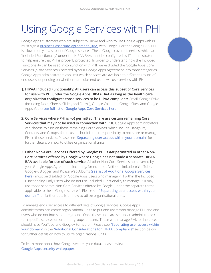### <span id="page-2-0"></span>Using Google Services with PHI

Google Apps customers who are subject to HIPAA and wish to use Google Apps with PHI must sign a [Business Associate Agreement \(BAA\)](https://support.google.com/a/answer/3407074) with Google. Per the Google BAA, PHI is allowed only in a subset of Google services. These Google covered services, which are "Included Functionality" under the HIPAA BAA, must be configured by IT administrators to help ensure that PHI is properly protected. In order to understand how the Included Functionality can be used in conjunction with PHI, we've divided the Google Apps Core Services ("Core Services") covered by your Google Apps Agreement into three categories. Google Apps administrators can limit which services are available to different groups of end users, depending on whether particular end users will use services with PHI.

- **1. HIPAA Included Functionality: All users can access this subset of Core Services for use with PHI under the Google Apps HIPAA BAA as long as the health care organization configures those services to be HIPAA compliant:** Gmail, Google Drive (including Docs, Sheets, Slides, and Forms), Google Calendar, Google Sites, and Google Apps Vault [\(see full list of Google Apps Core Services here\)](http://www.google.com/apps/intl/en/terms/user_features.html).
- **2. Core Services where PHI is** *not* **permitted: There are certain remaining Core Services that may not be used in connection with PHI.** Google Apps administrators can choose to turn on these remaining Core Services, which include Hangouts, Contacts, and Groups, for its users, but it is their responsibility to not store or manage PHI in those services. Please see ["Separating user access within your domain"](#page-7-0) for further details on how to utilize organizational units.
- **3. Other Non-Core Services Offered by Google: PHI is** *not* **permitted in other Non-Core Services offered by Google where Google has not made a separate HIPAA BAA available for use of such service.** All other Non-Core Services not covered by your Google Apps Agreement, including, for example, (without limitation) YouTube, Google+, Blogger, and Picasa Web Albums [\(see list of Additional Google Services](https://support.google.com/a/answer/181865) [here\)](https://support.google.com/a/answer/181865), must be disabled for Google Apps users who manage PHI within the Included Functionality. Only users who do not use Included Functionality to manage PHI may use those separate Non-Core Services offered by Google (under the separate terms applicable to these Google services). Please see ["Separating user access within your](#page-7-0) [domain"](#page-7-0) for further details on how to utilize organizational units.

To manage end user access to different sets of Google services, Google Apps administrators can create organizational units to put end users who manage PHI and end users who do not into separate groups. Once these units are set up, an administrator can turn specific services on or off for groups of users. Those who manage PHI, for instance, should have YouTube and Google+ turned off. Please see "Separating user access within [your domain"](#page-7-0) in the ["Additional Considerations for HIPAA Compliance"](#page-7-0) section below for further details on how to utilize organizational units.

To learn more about how Google secures your data, please review our [Google Apps security whitepaper](https://www.google.com/work/apps/business/resources/docs/security-whitepaper.html).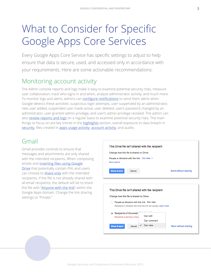## <span id="page-3-0"></span>What to Consider for Specific Google Apps Core Services

Every Google Apps Core Service has specific settings to adjust to help ensure that data is secure, used, and accessed only in accordance with your requirements. Here are some actionable recommendations:

### Monitoring account activity

The Admin console reports and logs make it easy to examine potential security risks, measure user collaboration, track who signs in and when, analyze administrator activity, and much more. To monitor logs and alerts, admins can [configure notifications](https://support.google.com/a/answer/3230421?hl=en) to send them alerts when Google detects these activities: suspicious login attempts, user suspended by an administrator, new user added, suspended user made active, user deleted, user's password changed by an administrator, user granted admin privilege, and user's admin privilege revoked. The admin can also [review reports and logs](https://support.google.com/a/answer/6000239) on a regular basis to examine potential security risks. The main things to focus on are key trends in the **[highlights](https://support.google.com/a/answer/6000244)** section, overall exposure to data breach in [security](https://support.google.com/a/answer/6000269), files created in [apps usage activity](https://support.google.com/a/answer/4579578), [account activity](https://support.google.com/a/answer/4580176), and audits.

#### Gmail

Gmail provides controls to ensure that messages and attachments are only shared with the intended recipients. When composing emails and inserting files using Google **[Drive](https://support.google.com/mail/answer/2480713)** that potentially contain PHI, end users can choose to **[share only](https://support.google.com/mail/answer/2487407)** with the intended recipients. If the file is not already shared with all email recipients, the default will be to share the file with ["Anyone with the link"](https://support.google.com/drive/answer/2494886) within the Google Apps domain. Change the link sharing settings to "Private."

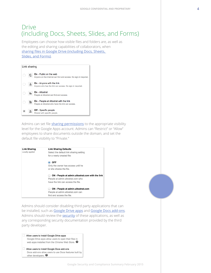#### Drive (including Docs, Sheets, Slides, and Forms)

Employees can choose how visible files and folders are, as well as the editing and sharing capabilities of collaborators, when [sharing files in Google Drive \(including Docs, Sheets,](https://support.google.com/drive/answer/2494822)  [Slides, and Forms\)](https://support.google.com/drive/answer/2494822).



Admins can set file [sharing permissions](https://support.google.com/a/answer/60781) to the appropriate visibility level for the Google Apps account. Admins can "Restrict" or "Allow" employees to share documents outside the domain, and set the default file visibility to "Private."

| <b>Link Sharing</b><br>Locally applied | <b>Link Sharing Defaults</b><br>Select the default link sharing setting |
|----------------------------------------|-------------------------------------------------------------------------|
|                                        | for a newly created file:                                               |
|                                        | <b>OFF</b><br>$\bullet$                                                 |
|                                        | Only the owner has access until he                                      |
|                                        | or she shares the file.                                                 |
|                                        | ON - People at admin.altostrat.com with the link                        |
|                                        | People at admin.altostrat.com who                                       |
|                                        | have the link can access the file.                                      |
|                                        | ON - People at admin.altostrat.com                                      |
|                                        | People at admin.altostrat.com can                                       |
|                                        | find and access the file.                                               |

Admins should consider disabling third party applications that can be installed, such as [Google Drive apps](https://support.google.com/drive/answer/2500820) and [Google Docs add-ons](https://support.google.com/a/answer/4530135). Admins should review the **[security](https://support.google.com/drive/answer/2523079)** of these applications, as well as any corresponding security documentation provided by the third party developer.

Allow users to install Google Drive apps Google Drive apps allow users to open their files in web apps installed from the Chrome Web Store. <sup>O</sup>

Allow users to install Google Docs add-ons Docs add-ons allow users to use Docs features built by other developers.  $\bullet$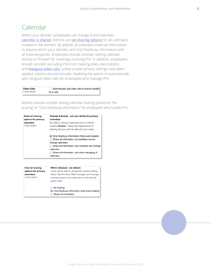#### Calendar

Within your domain, employees can change if and how their [calendar is shared](https://support.google.com/calendar/answer/143754). Admins can [set sharing options](https://support.google.com/a/answer/60765) for all calendars created in the domain. By default, all calendars share all information to anyone within your domain, and only free/busy information with all external parties. Employees should consider setting calendar entries to "Private" for meetings involving PHI. In addition, employees should consider excluding PHI from meeting titles, descriptions, and **[Hangout video calls](https://support.google.com/a/answer/4362302)**, unless proper privacy settings have been applied. Admins should consider disabling the option to automatically add Hangout video calls for employees who manage PHI.

| <b>Video Calls</b> | Automatically add video calls to events created |
|--------------------|-------------------------------------------------|
| Locally applied    | by a user                                       |

Admins should consider setting calendar sharing options to "No sharing" or "Only free/busy information" for employees who handle PHI.

| <b>External sharing</b><br>options for primary | <b>Outside Altostrat - set user ability for primary</b><br>calendars                                                                                                                                                                                |
|------------------------------------------------|-----------------------------------------------------------------------------------------------------------------------------------------------------------------------------------------------------------------------------------------------------|
| calendars<br>Locally applied                   | By default, primary calendars are not shared<br>outside Altostrat. Select the highest level of<br>sharing that you want to allow for your users.                                                                                                    |
|                                                | • Only free/busy information (hide event details)<br>Share all information, but outsiders cannot<br>change calendars<br>Share all information, and outsiders can change<br>calendars<br>◯ Share all information, and allow managing of<br>calendars |

| <b>Internal sharing</b> | <b>Within Altostrat - set default</b>                                                               |
|-------------------------|-----------------------------------------------------------------------------------------------------|
| options for primary     | Users will be able to change this default setting.                                                  |
| calendars               | Super Admins have 'Make changes and manage                                                          |
| Locally applied         | sharing' access to all calendars on the domain.                                                     |
|                         | Learn more                                                                                          |
|                         | $\bigcirc$ No sharing<br>• Only free/busy information (hide event details)<br>Share all information |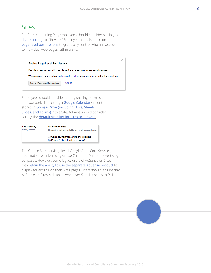#### Sites

For Sites containing PHI, employees should consider setting the [share settings](https://support.google.com/sites/answer/90594) to "Private." Employees can also turn on [page-level permissions](https://support.google.com/sites/answer/1387384) to granularly control who has access to individual web pages within a Site.

 $\times$ **Enable Page-Level Permissions** Page-level permissions allow you to control who can view or edit specific pages. We recommend you read our getting started guide before you use page-level permissions. **Turn on Page-Level Permissions** Cancel

Employees should consider setting sharing permissions appropriately, if inserting a **[Google Calendar](https://support.google.com/sites/answer/157219)** or content stored in [Google Drive \(including Docs, Sheets,](https://support.google.com/sites/answer/90569)  [Slides, and Forms\)](https://support.google.com/sites/answer/90569) into a Site. Admins should consider setting the **[default visibility for Sites to "Private](https://support.google.com/a/answer/1751957).**"

| <b>Site Visibility</b> | <b>Visibility of Sites</b>                                                             |
|------------------------|----------------------------------------------------------------------------------------|
| Locally applied        | Select the default visibility for newly created sites:                                 |
|                        | ◯ Users at Altostrat can find and edit sites<br>• Private (only visible to site owner) |

The Google Sites service, like all Google Apps Core Services, does not serve advertising or use Customer Data for advertising purposes. However, some legacy users of AdSense on Sites may [retain the ability to use the separate AdSense product](https://support.google.com/sites/answer/3156640) to display advertising on their Sites pages. Users should ensure that AdSense on Sites is disabled whenever Sites is used with PHI.

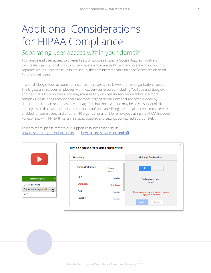# <span id="page-7-0"></span>Additional Considerations for HIPAA Compliance

#### Separating user access within your domain

To manage end user access to different sets of Google services, a Google Apps administrator can create organizational units to put end users who manage PHI and end users who do not into separate groups.Once these units are set up, the administrator can turn specific services on or off for groups of users.

In a small Google Apps account, for instance, there are typically two or three organizational units. The largest unit includes employees with most services enabled, including YouTube and Google+; another unit is for employees who may manage PHI, with certain services disabled. In a more complex Google Apps account, there are more organizational units that are often divided by department. Human resources may manage PHI, but those who do may be only a subset of HR employees. In that case, administrators could configure an HR organizational unit with most services enabled for some users, and another HR organizational unit for employees using the HIPAA Included Functionality with PHI (with certain services disabled and settings configured appropriately).

To learn more, please refer to our Support resources that discuss [how to set up organizational units](https://support.google.com/a/answer/4352075) and [how to turn services on and off](https://support.google.com/a/answer/182442).



| <b>Select org:</b>                              |                   | <b>Settings for Americas</b>                                        |
|-------------------------------------------------|-------------------|---------------------------------------------------------------------|
| admin.altostrat.com<br>$\overline{\phantom{a}}$ | Master<br>setting | ON                                                                  |
| 2FA                                             | Inherited         | Setting overridden<br>Inherit                                       |
| <b>Americas</b>                                 | Overridden        |                                                                     |
| Asia                                            | Inherited         | These changes may take up to 24 hours to<br>propagate to all users. |
| Europe<br>k.                                    | Inherited         |                                                                     |
|                                                 |                   | Cancel<br><b>Apply</b>                                              |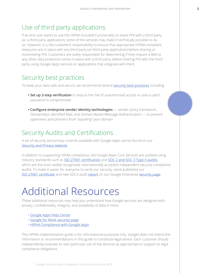### <span id="page-8-0"></span>Use of third party applications

If an end user wants to use the HIPAA Included Functionality to share PHI with a third party (or a third party application), some of the services may make it technically possible to do so. However, it is the customer's responsibility to ensure that appropriate HIPAA-compliant measures are in place with any third party (or third party application) before sharing or transmitting PHI. Customers are solely responsible for determining if they require a BAA or any other data protection terms in place with a third party before sharing PHI with the third party using Google Apps services or applications that integrate with them.

### Security best practices

To keep your data safe and secure, we recommend several [security best practices](https://support.google.com/a/answer/1360111) including:

- **Set up 2-step verification** to reduce the risk of unauthorized access in case a user's password is compromised
- **Configure enterprise sender identity technologies** sender policy framework, DomainKeys Identified Mail, and Domain-Based Message Authentication — to prevent spammers and phishers from "spoofing" your domain

### Security Audits and Certifications

A list of security and privacy controls available with Google Apps can be found on our [Security and Privacy website](https://support.google.com/a/topic/4388147).

In addition to supporting HIPAA compliance, the Google Apps Core Services are audited using industry standards such as **[ISO 27001 certification](https://services.google.com/fh/files/blogs/btd-sec-op-2014-grey.pdf)** and **[SOC 2 and SOC 3 Type II audits](https://services.google.com/fh/files/blogs/btd-sec-op-2014-grey.pdf)**, which are the most widely recognized, internationally accepted independent security compliance audits. To make it easier for everyone to verify our security, we've published our **[ISO 27001 certificate](https://services.google.com/fh/files/blogs/google-iso27001-certificate-2014.pdf)** and new SOC3 audit [report](https://support.google.com/googleforwork/answer/6056694) on our Google Enterprise [security page](https://www.google.com/work/our-approach.html).

### [Additional](#page-9-0) Resources

These additional resources may help you understand how Google services are designed with privacy, confidentiality, integrity, and availability of data in mind.

- [Google Apps Help Center](https://support.google.com/a/#topic=29157)
- [Google for Work security page](https://www.google.com/work/our-approach.html)
- [HIPAA Compliance with Google Apps](https://support.google.com/a/answer/3407054)

This HIPAA implementation guide is for informational purposes only. Google does not intend the information or recommendations in this guide to constitute legal advice. Each customer should independently evaluate its own particular use of the services as appropriate to support its legal compliance obligations.